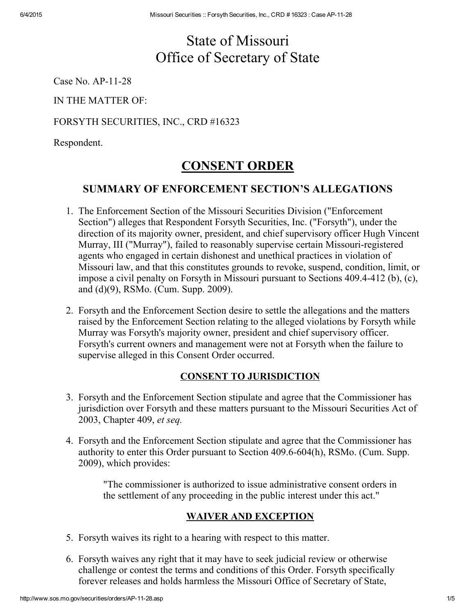# State of Missouri Office of Secretary of State

Case No. AP-11-28

IN THE MATTER OF:

# FORSYTH SECURITIES, INC., CRD #16323

Respondent.

# CONSENT ORDER

# SUMMARY OF ENFORCEMENT SECTION'S ALLEGATIONS

- 1. The Enforcement Section of the Missouri Securities Division ("Enforcement Section") alleges that Respondent Forsyth Securities, Inc. ("Forsyth"), under the direction of its majority owner, president, and chief supervisory officer Hugh Vincent Murray, III ("Murray"), failed to reasonably supervise certain Missouri-registered agents who engaged in certain dishonest and unethical practices in violation of Missouri law, and that this constitutes grounds to revoke, suspend, condition, limit, or impose a civil penalty on Forsyth in Missouri pursuant to Sections 409.4412 (b), (c), and (d)(9), RSMo. (Cum. Supp. 2009).
- 2. Forsyth and the Enforcement Section desire to settle the allegations and the matters raised by the Enforcement Section relating to the alleged violations by Forsyth while Murray was Forsyth's majority owner, president and chief supervisory officer. Forsyth's current owners and management were not at Forsyth when the failure to supervise alleged in this Consent Order occurred.

# CONSENT TO JURISDICTION

- 3. Forsyth and the Enforcement Section stipulate and agree that the Commissioner has jurisdiction over Forsyth and these matters pursuant to the Missouri Securities Act of 2003, Chapter 409, et seq.
- 4. Forsyth and the Enforcement Section stipulate and agree that the Commissioner has authority to enter this Order pursuant to Section 409.6-604(h), RSMo. (Cum. Supp. 2009), which provides:

"The commissioner is authorized to issue administrative consent orders in the settlement of any proceeding in the public interest under this act."

# WAIVER AND EXCEPTION

- 5. Forsyth waives its right to a hearing with respect to this matter.
- 6. Forsyth waives any right that it may have to seek judicial review or otherwise challenge or contest the terms and conditions of this Order. Forsyth specifically forever releases and holds harmless the Missouri Office of Secretary of State,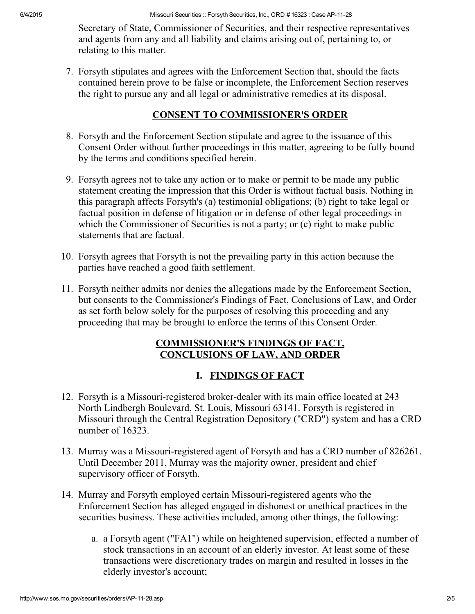Secretary of State, Commissioner of Securities, and their respective representatives and agents from any and all liability and claims arising out of, pertaining to, or relating to this matter.

7. Forsyth stipulates and agrees with the Enforcement Section that, should the facts contained herein prove to be false or incomplete, the Enforcement Section reserves the right to pursue any and all legal or administrative remedies at its disposal.

#### CONSENT TO COMMISSIONER'S ORDER

- 8. Forsyth and the Enforcement Section stipulate and agree to the issuance of this Consent Order without further proceedings in this matter, agreeing to be fully bound by the terms and conditions specified herein.
- 9. Forsyth agrees not to take any action or to make or permit to be made any public statement creating the impression that this Order is without factual basis. Nothing in this paragraph affects Forsyth's (a) testimonial obligations; (b) right to take legal or factual position in defense of litigation or in defense of other legal proceedings in which the Commissioner of Securities is not a party; or (c) right to make public statements that are factual.
- 10. Forsyth agrees that Forsyth is not the prevailing party in this action because the parties have reached a good faith settlement.
- 11. Forsyth neither admits nor denies the allegations made by the Enforcement Section, but consents to the Commissioner's Findings of Fact, Conclusions of Law, and Order as set forth below solely for the purposes of resolving this proceeding and any proceeding that may be brought to enforce the terms of this Consent Order.

#### COMMISSIONER'S FINDINGS OF FACT, CONCLUSIONS OF LAW, AND ORDER

# I. FINDINGS OF FACT

- 12. Forsyth is a Missouri-registered broker-dealer with its main office located at 243 North Lindbergh Boulevard, St. Louis, Missouri 63141. Forsyth is registered in Missouri through the Central Registration Depository ("CRD") system and has a CRD number of 16323.
- 13. Murray was a Missouri-registered agent of Forsyth and has a CRD number of 826261. Until December 2011, Murray was the majority owner, president and chief supervisory officer of Forsyth.
- 14. Murray and Forsyth employed certain Missouri-registered agents who the Enforcement Section has alleged engaged in dishonest or unethical practices in the securities business. These activities included, among other things, the following:
	- a. a Forsyth agent ("FA1") while on heightened supervision, effected a number of stock transactions in an account of an elderly investor. At least some of these transactions were discretionary trades on margin and resulted in losses in the elderly investor's account;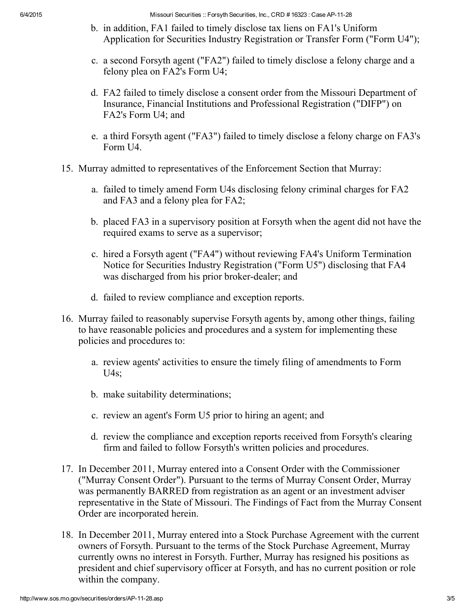- b. in addition, FA1 failed to timely disclose tax liens on FA1's Uniform Application for Securities Industry Registration or Transfer Form ("Form U4");
- c. a second Forsyth agent ("FA2") failed to timely disclose a felony charge and a felony plea on FA2's Form U4;
- d. FA2 failed to timely disclose a consent order from the Missouri Department of Insurance, Financial Institutions and Professional Registration ("DIFP") on FA2's Form U4; and
- e. a third Forsyth agent ("FA3") failed to timely disclose a felony charge on FA3's Form U4.
- 15. Murray admitted to representatives of the Enforcement Section that Murray:
	- a. failed to timely amend Form U4s disclosing felony criminal charges for FA2 and FA3 and a felony plea for FA2;
	- b. placed FA3 in a supervisory position at Forsyth when the agent did not have the required exams to serve as a supervisor;
	- c. hired a Forsyth agent ("FA4") without reviewing FA4's Uniform Termination Notice for Securities Industry Registration ("Form U5") disclosing that FA4 was discharged from his prior broker-dealer; and
	- d. failed to review compliance and exception reports.
- 16. Murray failed to reasonably supervise Forsyth agents by, among other things, failing to have reasonable policies and procedures and a system for implementing these policies and procedures to:
	- a. review agents' activities to ensure the timely filing of amendments to Form  $U4s$ ;
	- b. make suitability determinations;
	- c. review an agent's Form U5 prior to hiring an agent; and
	- d. review the compliance and exception reports received from Forsyth's clearing firm and failed to follow Forsyth's written policies and procedures.
- 17. In December 2011, Murray entered into a Consent Order with the Commissioner ("Murray Consent Order"). Pursuant to the terms of Murray Consent Order, Murray was permanently BARRED from registration as an agent or an investment adviser representative in the State of Missouri. The Findings of Fact from the Murray Consent Order are incorporated herein.
- 18. In December 2011, Murray entered into a Stock Purchase Agreement with the current owners of Forsyth. Pursuant to the terms of the Stock Purchase Agreement, Murray currently owns no interest in Forsyth. Further, Murray has resigned his positions as president and chief supervisory officer at Forsyth, and has no current position or role within the company.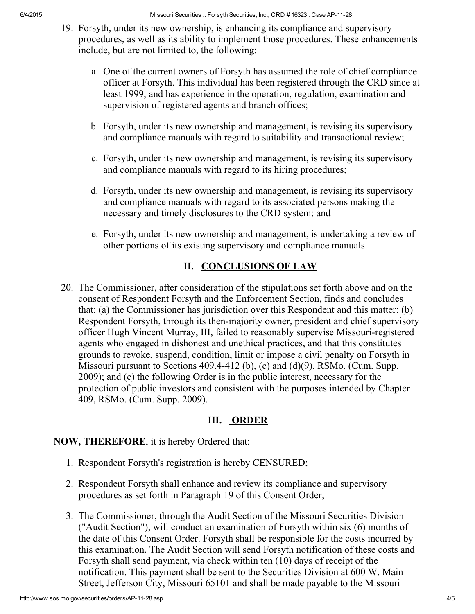- 19. Forsyth, under its new ownership, is enhancing its compliance and supervisory procedures, as well as its ability to implement those procedures. These enhancements include, but are not limited to, the following:
	- a. One of the current owners of Forsyth has assumed the role of chief compliance officer at Forsyth. This individual has been registered through the CRD since at least 1999, and has experience in the operation, regulation, examination and supervision of registered agents and branch offices;
	- b. Forsyth, under its new ownership and management, is revising its supervisory and compliance manuals with regard to suitability and transactional review;
	- c. Forsyth, under its new ownership and management, is revising its supervisory and compliance manuals with regard to its hiring procedures;
	- d. Forsyth, under its new ownership and management, is revising its supervisory and compliance manuals with regard to its associated persons making the necessary and timely disclosures to the CRD system; and
	- e. Forsyth, under its new ownership and management, is undertaking a review of other portions of its existing supervisory and compliance manuals.

# II. CONCLUSIONS OF LAW

20. The Commissioner, after consideration of the stipulations set forth above and on the consent of Respondent Forsyth and the Enforcement Section, finds and concludes that: (a) the Commissioner has jurisdiction over this Respondent and this matter; (b) Respondent Forsyth, through its then-majority owner, president and chief supervisory officer Hugh Vincent Murray, III, failed to reasonably supervise Missouri-registered agents who engaged in dishonest and unethical practices, and that this constitutes grounds to revoke, suspend, condition, limit or impose a civil penalty on Forsyth in Missouri pursuant to Sections 409.4412 (b), (c) and (d)(9), RSMo. (Cum. Supp. 2009); and (c) the following Order is in the public interest, necessary for the protection of public investors and consistent with the purposes intended by Chapter 409, RSMo. (Cum. Supp. 2009).

# III. ORDER

# NOW, THEREFORE, it is hereby Ordered that:

- 1. Respondent Forsyth's registration is hereby CENSURED;
- 2. Respondent Forsyth shall enhance and review its compliance and supervisory procedures as set forth in Paragraph 19 of this Consent Order;
- 3. The Commissioner, through the Audit Section of the Missouri Securities Division ("Audit Section"), will conduct an examination of Forsyth within six (6) months of the date of this Consent Order. Forsyth shall be responsible for the costs incurred by this examination. The Audit Section will send Forsyth notification of these costs and Forsyth shall send payment, via check within ten (10) days of receipt of the notification. This payment shall be sent to the Securities Division at 600 W. Main Street, Jefferson City, Missouri 65101 and shall be made payable to the Missouri